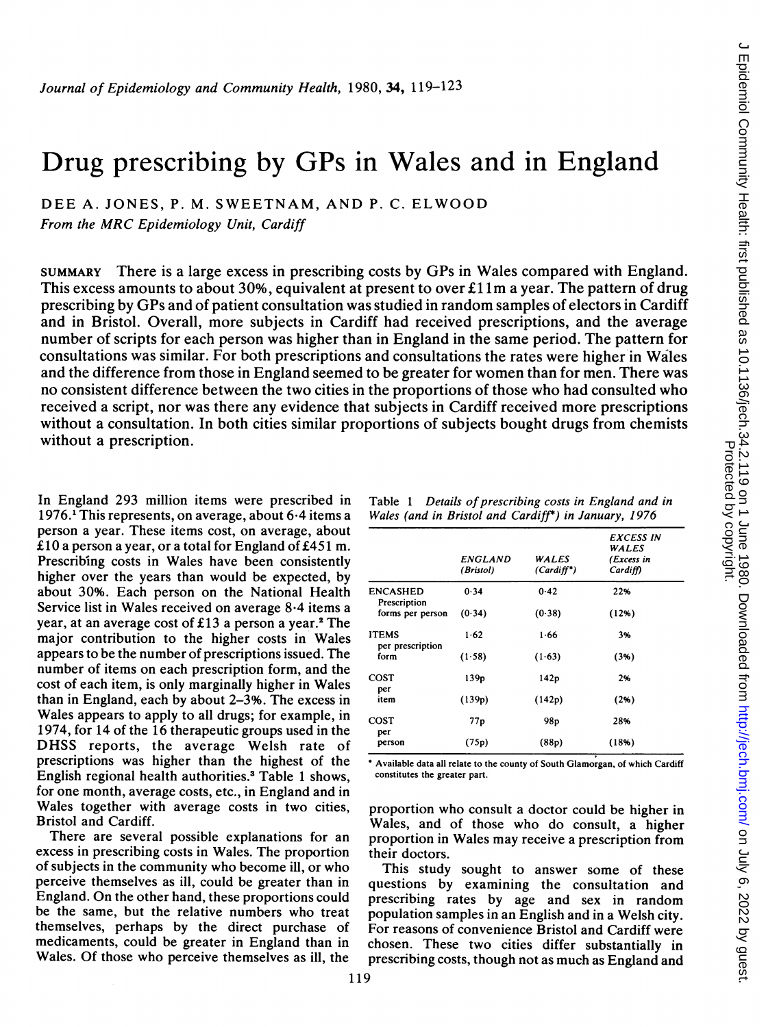# Drug prescribing by GPs in Wales and in England

DEE A. JONES, P. M. SWEETNAM, AND P. C. ELWOOD

From the MRC Epidemiology Unit, Cardiff

SUMMARY There is a large excess in prescribing costs by GPs in Wales compared with England. This excess amounts to about 30%, equivalent at present to over £11m a year. The pattern of drug prescribing by GPs and of patient consultation was studied in random samples of electors in Cardiff and in Bristol. Overall, more subjects in Cardiff had received prescriptions, and the average number of scripts for each person was higher than in England in the same period. The pattern for consultations was similar. For both prescriptions and consultations the rates were higher in Wales and the difference from those in England seemed to be greater for women than for men. There was no consistent difference between the two cities in the proportions of those who had consulted who received a script, nor was there any evidence that subjects in Cardiff received more prescriptions without a consultation. In both cities similar proportions of subjects bought drugs from chemists without a prescription.

In England 293 million items were prescribed in 1976.<sup>1</sup> This represents, on average, about  $6.4$  items a person a year. These items cost, on average, about £10 a person a year, or a total for England of £451 m. Prescribing costs in Wales have been consistently higher over the years than would be expected, by about 30%. Each person on the National Health Service list in Wales received on average 8-4 items a year, at an average cost of £13 a person a year.<sup>2</sup> The major contribution to the higher costs in Wales appears to be the number of prescriptions issued. The number of items on each prescription form, and the cost of each item, is only marginally higher in Wales than in England, each by about 2-3%. The excess in Wales appears to apply to all drugs; for example, in 1974, for 14 of the 16 therapeutic groups used in the DHSS reports, the average Welsh rate of prescriptions was higher than the highest of the English regional health authorities.3 Table <sup>1</sup> shows, for one month, average costs, etc., in England and in Wales together with average costs in two cities, Bristol and Cardiff.

There are several possible explanations for an excess in prescribing costs in Wales. The proportion of subjects in the community who become ill, or who perceive themselves as ill, could be greater than in England. On the other hand, these proportions could be the same, but the relative numbers who treat themselves, perhaps by the direct purchase of medicaments, could be greater in England than in Wales. Of those who perceive themselves as ill, the

| Table 1 | Details of prescribing costs in England and in       |  |
|---------|------------------------------------------------------|--|
|         | Wales (and in Bristol and Cardiff*) in January, 1976 |  |

|                                  | ENGLAND<br>(Bristol) | WALES<br>$(Cardiff^*)$ | EXCESS IN<br>WALES<br>(Excess in<br>Cardiff) |
|----------------------------------|----------------------|------------------------|----------------------------------------------|
| <b>ENCASHED</b><br>Prescription  | 0.34                 | 0.42                   | 22%                                          |
| forms per person                 | (0.34)               | (0.38)                 | (12%)                                        |
| <b>ITEMS</b><br>per prescription | $1 - 62$             | 1.66                   | 3%                                           |
| form                             | (1.58)               | (1.63)                 | (3%)                                         |
| COST<br>per                      | 139 <sub>p</sub>     | 142p                   | 2%                                           |
| item                             | (139p)               | (142p)                 | (2%)                                         |
| COST<br>per                      | 77p                  | 98 <sub>p</sub>        | 28%                                          |
| person                           | (75p)                | (88p)                  | (18%)                                        |

'Available data all relate to the county of South Glamorgan, of which Cardiff constitutes the greater part.

proportion who consult a doctor could be higher in Wales, and of those who do consult, a higher proportion in Wales may receive a prescription from their doctors.

This study sought to answer some of these questions by examining the consultation and prescribing rates by age and sex in random population samples in an English and in a Welsh city. For reasons of convenience Bristol and Cardiff were chosen. These two cities differ substantially in prescribing costs, though not as much as England and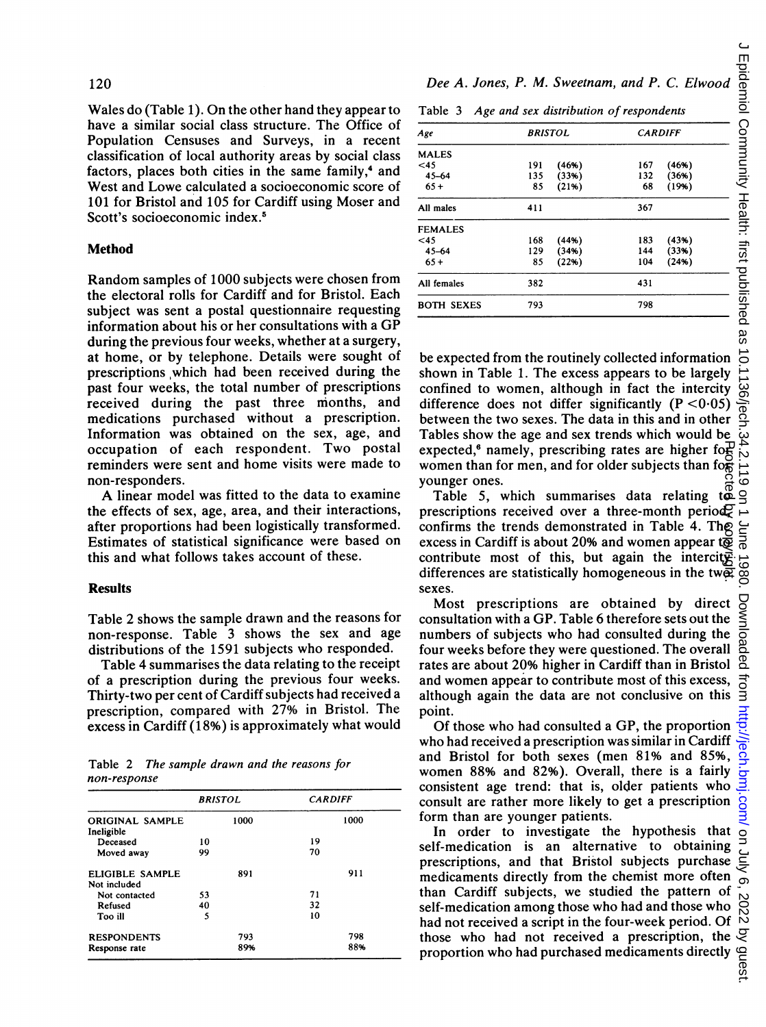Wales do (Table 1). On the other hand they appear to have a similar social class structure. The Office of Population Censuses and Surveys, in a recent classification of local authority areas by social class factors, places both cities in the same family,<sup>4</sup> and West and Lowe calculated a socioeconomic score of 101 for Bristol and 105 for Cardiff using Moser and Scott's socioeconomic index.<sup>5</sup>

### Method

Random samples of 1000 subjects were chosen from the electoral rolls for Cardiff and for Bristol. Each subject was sent a postal questionnaire requesting information about his or her consultations with <sup>a</sup> GP during the previous four weeks, whether at a surgery, at home, or by telephone. Details were sought of prescriptions,which had been received during the past four weeks, the total number of prescriptions received during the past three months, and medications purchased without a prescription. Information was obtained on the sex, age, and occupation of each respondent. Two postal reminders were sent and home visits were made to non-responders.

A linear model was fitted to the data to examine the effects of sex, age, area, and their interactions, after proportions had been logistically transformed. Estimates of statistical significance were based on this and what follows takes account of these.

## Results

Table 2 shows the sample drawn and the reasons for non-response. Table 3 shows the sex and age distributions of the 1591 subjects who responded.

Table 4 summarises the data relating to the receipt of a prescription during the previous four weeks. Thirty-two per cent of Cardiff subjects had received a prescription, compared with 27% in Bristol. The excess in Cardiff (18%) is approximately what would

Table 2 The sample drawn and the reasons for non-response

|                        | <b>BRISTOL</b> |      | <b>CARDIFF</b> |      |  |
|------------------------|----------------|------|----------------|------|--|
| <b>ORIGINAL SAMPLE</b> |                | 1000 |                | 1000 |  |
| Incligible             |                |      |                |      |  |
| Deceased               | 10             |      | 19             |      |  |
| Moved away             | 99             |      | 70             |      |  |
| ELIGIBLE SAMPLE        |                | 891  |                | 911  |  |
| Not included           |                |      |                |      |  |
| Not contacted          | 53             |      | 71             |      |  |
| Refused                | 40             |      | 32             |      |  |
| Too ill                | 5              |      | 10             |      |  |
| <b>RESPONDENTS</b>     |                | 793  |                | 798  |  |
| Response rate          |                | 89%  |                | 88%  |  |

Dee A. Jones, P. M. Sweetnam, and P. C. Elwood

Table 3 Age and sex distribution of respondents

| Age               | <b>BRISTOL</b> |       | <b>CARDIFF</b> |        |  |
|-------------------|----------------|-------|----------------|--------|--|
| <b>MALES</b>      |                |       |                |        |  |
| $45$              | 191            | (46%) | 167            | (46%)  |  |
| $45 - 64$         | 135            | (33%) | 132            | (36%)  |  |
| $65+$             | 85             | (21%) | 68             | (19% ) |  |
| All males         | 411            |       | 367            |        |  |
| <b>FEMALES</b>    |                |       |                |        |  |
| $<$ 45            | 168            | (44%) | 183            | (43%)  |  |
| $45 - 64$         | 129            | (34%) | 144            | (33%)  |  |
| $65+$             | 85             | (22%) | 104            | (24%)  |  |
| All females       | 382            |       | 431            |        |  |
| <b>BOTH SEXES</b> | 793            |       | 798            |        |  |

be expected from the routinely collected information shown in Table 1. The excess appears to be largely confined to women, although in fact the intercity difference does not differ significantly  $(P < 0.05)$ between the two sexes. The data in this and in other Tables show the age and sex trends which would be expected,<sup>6</sup> namely, prescribing rates are higher form women than for men, and for older subjects than for younger ones.

Table 5, which summarises data relating  $t\ddot{a}$ prescriptions received over a three-month period. confirms the trends demonstrated in Table 4. The excess in Cardiff is about 20% and women appear to contribute most of this, but again the intercity differences are statistically homogeneous in the two sexes.

Most prescriptions are obtained by direct consultation with a GP. Table 6 therefore sets out the numbers of subjects who had consulted during the four weeks before they were questioned. The overall rates are about 20% higher in Cardiff than in Bristol and women appear to contribute most of this excess, although again the data are not conclusive on this point.

Of those who had consulted <sup>a</sup> GP, the proportion who had received a prescription was similar in Cardiff and Bristol for both sexes (men 81% and 85%, women 88% and 82%). Overall, there is a fairly consistent age trend: that is, older patients who consult are rather more likely to get a prescription form than are younger patients.

In order to investigate the hypothesis that self-medication is an alternative to obtaining prescriptions, and that Bristol subjects purchase medicaments directly from the chemist more often than Cardiff subjects, we studied the pattern of self-medication among those who had and those who had not received <sup>a</sup> script in the four-week period. Of those who had not received a prescription, the expected,<sup>6</sup> namely, prescribing rates are higher formuom than for men, and for older subjects than for movem younger ones. Table 5, which summarises data relating to prescriptions received over a three-month period confir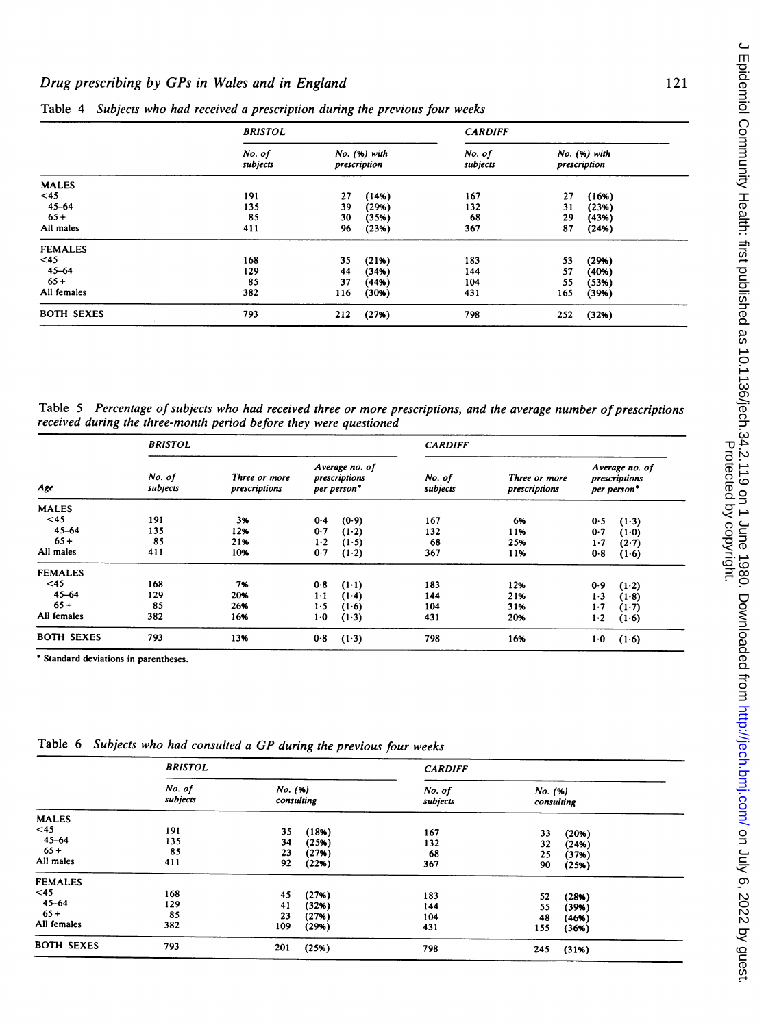## Drug prescribing by GPs in Wales and in England 121

|                   | <b>BRISTOL</b>                                     |     |                    | <b>CARDIFF</b>               |     |       |  |
|-------------------|----------------------------------------------------|-----|--------------------|------------------------------|-----|-------|--|
|                   | No. of<br>No. (%) with<br>subjects<br>prescription |     | No. of<br>subjects | No. (%) with<br>prescription |     |       |  |
| <b>MALES</b>      |                                                    |     |                    |                              |     |       |  |
| <45               | 191                                                | 27  | (14%)              | 167                          | 27  | (16%) |  |
| $45 - 64$         | 135                                                | 39  | (29%)              | 132                          | 31  | (23%) |  |
| $65+$             | 85                                                 | 30  | (35%)              | 68                           | 29  | (43%) |  |
| All males         | 411                                                | 96  | (23%)              | 367                          | 87  | (24%) |  |
| <b>FEMALES</b>    |                                                    |     |                    |                              |     |       |  |
| <45               | 168                                                | 35  | (21%)              | 183                          | 53  | (29%) |  |
| $45 - 64$         | 129                                                | 44  | (34%)              | 144                          | 57  | (40%) |  |
| $65+$             | 85                                                 | 37  | (44%)              | 104                          | 55  | (53%) |  |
| All females       | 382                                                | 116 | (30%)              | 431                          | 165 | (39%) |  |
| <b>BOTH SEXES</b> | 793                                                | 212 | (27%)              | 798                          | 252 | (32%) |  |

Table 4 Subjects who had received a prescription during the previous four weeks

Table 5 Percentage of subjects who had received three or more prescriptions, and the average number of prescriptions received during the three-month period before they were questioned

|                   | <b>BRISTOL</b>     |                                |                                                | <b>CARDIFF</b> |                    |                                |                                                |         |  |
|-------------------|--------------------|--------------------------------|------------------------------------------------|----------------|--------------------|--------------------------------|------------------------------------------------|---------|--|
| Age               | No. of<br>subjects | Three or more<br>prescriptions | Average no. of<br>prescriptions<br>per person* |                | No. of<br>subjects | Three or more<br>prescriptions | Average no. of<br>prescriptions<br>per person* |         |  |
| <b>MALES</b>      |                    |                                |                                                |                |                    |                                |                                                |         |  |
| $45$              | 191                | 3%                             | 0.4                                            | (0.9)          | 167                | 6%                             | 0.5                                            | $(1-3)$ |  |
| 45-64             | 135                | 12%                            | 0.7                                            | $(1-2)$        | 132                | 11%                            | 0.7                                            | (1.0)   |  |
| $65+$             | 85                 | 21%                            | $1-2$                                          | (1.5)          | 68                 | 25%                            | $1-7$                                          | $(2-7)$ |  |
| All males         | 411                | 10%                            | 0.7                                            | $(1-2)$        | 367                | 11%                            | 0.8                                            | (1.6)   |  |
| <b>FEMALES</b>    |                    |                                |                                                |                |                    |                                |                                                |         |  |
| <45               | 168                | 7%                             | 0.8                                            | $(1-1)$        | 183                | 12%                            | 0.9                                            | $(1-2)$ |  |
| 45-64             | 129                | 20%                            | $1-1$                                          | $(1-4)$        | 144                | 21%                            | $1-3$                                          | $(1-8)$ |  |
| $65+$             | 85                 | 26%                            | $1-5$                                          | $(1-6)$        | 104                | 31%                            | 1.7                                            | $(1-7)$ |  |
| All females       | 382                | 16%                            | $1-0$                                          | (1.3)          | 431                | 20%                            | $1-2$                                          | (1.6)   |  |
| <b>BOTH SEXES</b> | 793                | 13%                            | 0.8                                            | (1.3)          | 798                | 16%                            | 1.0                                            | (1.6)   |  |

Standard deviations in parentheses.

|                   | <b>BRISTOL</b>     |                        |       | <b>CARDIFF</b>     |                        |       |  |
|-------------------|--------------------|------------------------|-------|--------------------|------------------------|-------|--|
|                   | No. of<br>subjects | No. (96)<br>consulting |       | No. of<br>subjects | No. (96)<br>consulting |       |  |
| <b>MALES</b>      |                    |                        |       |                    |                        |       |  |
| <45               | 191                | 35                     | (18%) | 167                | 33                     | (20%) |  |
| $45 - 64$         | 135                | 34                     | (25%) | 132                | 32                     | (24%) |  |
| $65+$             | 85                 | 23                     | (27%) | 68                 | 25                     | (37%) |  |
| All males         | 411                | 92                     | (22%) | 367                | 90                     | (25%) |  |
| <b>FEMALES</b>    |                    |                        |       |                    |                        |       |  |
| $45$              | 168                | 45                     | (27%) | 183                | 52                     | (28%) |  |
| 45-64             | 129                | 41                     | (32%) | 144                | 55                     | (39%) |  |
| $65+$             | 85                 | 23                     | (27%) | 104                | 48                     | (46%) |  |
| All females       | 382                | 109                    | (29%) | 431                | 155                    | (36%) |  |
| <b>BOTH SEXES</b> | 793                | 201                    | (25%) | 798                | 245                    | (31%) |  |

Table <sup>6</sup> Subjects who had consulted <sup>a</sup> GP during the previous four weeks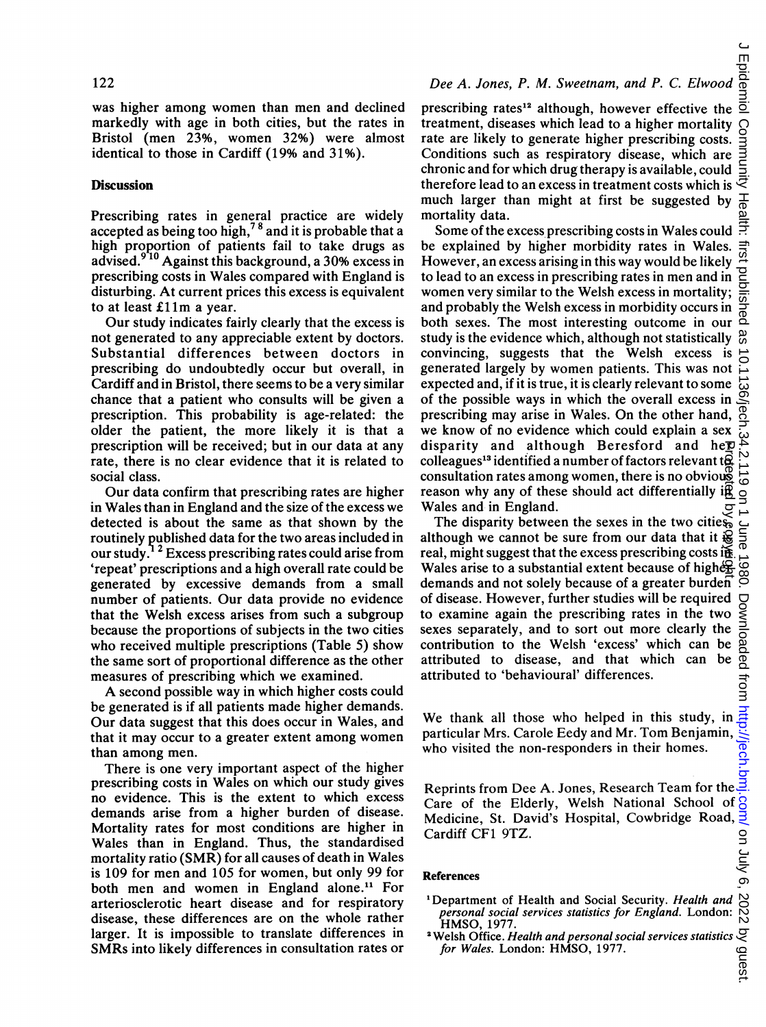was higher among women than men and declined markedly with age in both cities, but the rates in Bristol (men 23%, women 32%) were almost identical to those in Cardiff (19% and 31%).

## **Discussion**

Prescribing rates in general practice are widely accepted as being too high,<sup>78</sup> and it is probable that a high proportion of patients fail to take drugs as advised.<sup>9'10</sup> Against this background, a 30% excess in prescribing costs in Wales compared with England is disturbing. At current prices this excess is equivalent to at least £11m a year.

Our study indicates fairly clearly that the excess is not generated to any appreciable extent by doctors. Substantial differences between doctors in prescribing do undoubtedly occur but overall, in Cardiff and in Bristol, there seems to be a very similar chance that a patient who consults will be given a prescription. This probability is age-related: the older the patient, the more likely it is that a prescription will be received; but in our data at any rate, there is no clear evidence that it is related to social class.

Our data confirm that prescribing rates are higher in Wales than in England and the size of the excess we detected is about the same as that shown by the routinely published data for the two areas included in our study.<sup>12</sup> Excess prescribing rates could arise from 'repeat' prescriptions and a high overall rate could be generated by excessive demands from a small number of patients. Our data provide no evidence that the Welsh excess arises from such a subgroup because the proportions of subjects in the two cities who received multiple prescriptions (Table 5) show the same sort of proportional difference as the other measures of prescribing which we examined.

A second possible way in which higher costs could be generated is if all patients made higher demands. Our data suggest that this does occur in Wales, and that it may occur to <sup>a</sup> greater extent among women than among men.

There is one very important aspect of the higher prescribing costs in Wales on which our study gives no evidence. This is the extent to which excess demands arise from a higher burden of disease. Mortality rates for most conditions are higher in Wales than in England. Thus, the standardised mortality ratio (SMR) for all causes of death in Wales is 109 for men and 105 for women, but only 99 for both men and women in England alone.<sup>11</sup> For arteriosclerotic heart disease and for respiratory disease, these differences are on the whole rather larger. It is impossible to translate differences in SMRs into likely differences in consultation rates or prescribing rates<sup>12</sup> although, however effective the treatment, diseases which lead to a higher mortality rate are likely to generate higher prescribing costs. Conditions such as respiratory disease, which are chronic and for which drug therapy is available, could therefore lead to an excess in treatment costs which is  $\overline{\overline{z}}$ much larger than might at first be suggested by mortality data.

Some of the excess prescribing costs in Wales could  $\frac{1}{n}$ be explained by higher morbidity rates in Wales. However, an excess arising in this way would be likely to lead to an excess in prescribing rates in men and in  $\Xi$ women very similar to the Welsh excess in mortality; and probably the Welsh excess in morbidity occurs in both sexes. The most interesting outcome in our  $\overline{a}$ study is the evidence which, although not statistically convincing, suggests that the Welsh excess is generated largely by women patients. This was not expected and, if it is true, it is clearly relevant to some of the possible ways in which the overall excess in prescribing may arise in Wales. On the other hand, we know of no evidence which could explain a sex disparity and although Beresford and her colleagues<sup>13</sup> identified a number of factors relevant to consultation rates among women, there is no obvious reason why any of these should act differentially in Wales and in England. Protected by copyright.

The disparity between the sexes in the two cities, although we cannot be sure from our data that it  $\ddot{\mathbf{g}}$ real, might suggest that the excess prescribing costs in Wales arise to a substantial extent because of higherdemands and not solely because of a greater burden of disease. However, further studies will be required  $\Box$ to examine again the prescribing rates in the two sexes separately, and to sort out more clearly the contribution to the Welsh 'excess' which can be attributed to disease, and that which can be attributed to 'behavioural' differences.

We thank all those who helped in this study, in particular Mrs. Carole Eedy and Mr. Tom Benjamin, who visited the non-responders in their homes.

Reprints from Dee A. Jones, Research Team for the  $\frac{3}{5}$ <br>Care of the Elderly, Welsh National School of  $\frac{3}{5}$ <br>Medicine, St. David's Hospital, Cowbridge Road,  $\frac{3}{5}$ Care of the Elderly, Welsh National School of Medicine, St. David's Hospital, Cowbridge Road, Cardiff CF1 9TZ.

#### References

- <sup>1</sup>Department of Health and Social Security. Health and personal social services statistics for England. London: HMSO, 1977.
- **2 Welsh Office. Health and personal social services statistics**  $\bigcirc$  for Wales. London: HMSO, 1977. for Wales. London: HMSO, 1977.